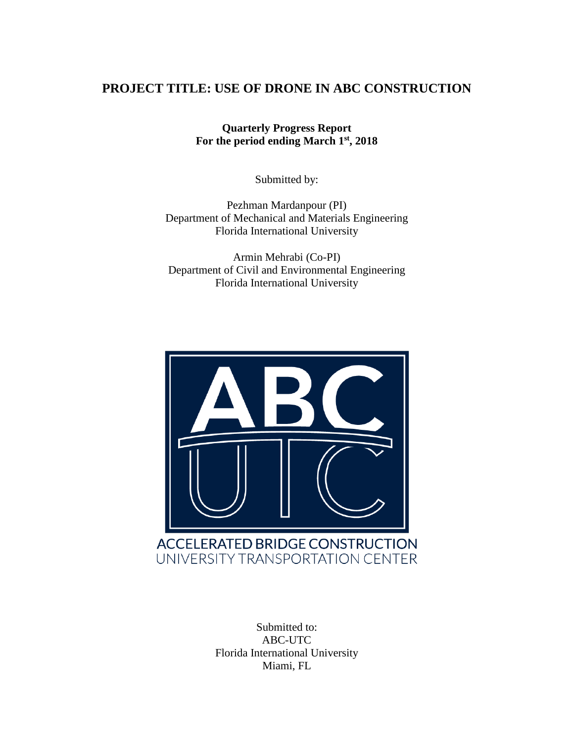### **PROJECT TITLE: USE OF DRONE IN ABC CONSTRUCTION**

**Quarterly Progress Report For the period ending March 1st, 2018**

Submitted by:

Pezhman Mardanpour (PI) Department of Mechanical and Materials Engineering Florida International University

Armin Mehrabi (Co-PI) Department of Civil and Environmental Engineering Florida International University



Submitted to: ABC-UTC Florida International University Miami, FL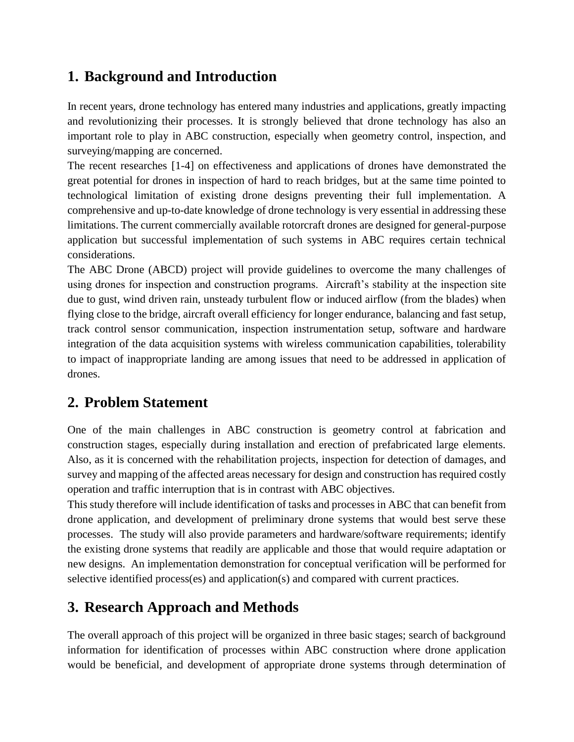# **1. Background and Introduction**

In recent years, drone technology has entered many industries and applications, greatly impacting and revolutionizing their processes. It is strongly believed that drone technology has also an important role to play in ABC construction, especially when geometry control, inspection, and surveying/mapping are concerned.

The recent researches [1-4] on effectiveness and applications of drones have demonstrated the great potential for drones in inspection of hard to reach bridges, but at the same time pointed to technological limitation of existing drone designs preventing their full implementation. A comprehensive and up-to-date knowledge of drone technology is very essential in addressing these limitations. The current commercially available rotorcraft drones are designed for general-purpose application but successful implementation of such systems in ABC requires certain technical considerations.

The ABC Drone (ABCD) project will provide guidelines to overcome the many challenges of using drones for inspection and construction programs. Aircraft's stability at the inspection site due to gust, wind driven rain, unsteady turbulent flow or induced airflow (from the blades) when flying close to the bridge, aircraft overall efficiency for longer endurance, balancing and fast setup, track control sensor communication, inspection instrumentation setup, software and hardware integration of the data acquisition systems with wireless communication capabilities, tolerability to impact of inappropriate landing are among issues that need to be addressed in application of drones.

## **2. Problem Statement**

One of the main challenges in ABC construction is geometry control at fabrication and construction stages, especially during installation and erection of prefabricated large elements. Also, as it is concerned with the rehabilitation projects, inspection for detection of damages, and survey and mapping of the affected areas necessary for design and construction has required costly operation and traffic interruption that is in contrast with ABC objectives.

This study therefore will include identification of tasks and processes in ABC that can benefit from drone application, and development of preliminary drone systems that would best serve these processes. The study will also provide parameters and hardware/software requirements; identify the existing drone systems that readily are applicable and those that would require adaptation or new designs. An implementation demonstration for conceptual verification will be performed for selective identified process(es) and application(s) and compared with current practices.

## **3. Research Approach and Methods**

The overall approach of this project will be organized in three basic stages; search of background information for identification of processes within ABC construction where drone application would be beneficial, and development of appropriate drone systems through determination of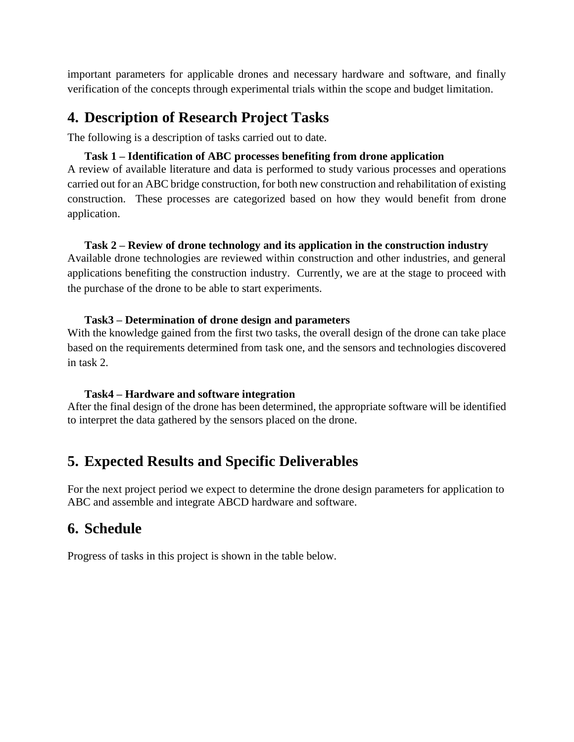important parameters for applicable drones and necessary hardware and software, and finally verification of the concepts through experimental trials within the scope and budget limitation.

### **4. Description of Research Project Tasks**

The following is a description of tasks carried out to date.

#### **Task 1 – Identification of ABC processes benefiting from drone application**

A review of available literature and data is performed to study various processes and operations carried out for an ABC bridge construction, for both new construction and rehabilitation of existing construction. These processes are categorized based on how they would benefit from drone application.

#### **Task 2 – Review of drone technology and its application in the construction industry**

Available drone technologies are reviewed within construction and other industries, and general applications benefiting the construction industry. Currently, we are at the stage to proceed with the purchase of the drone to be able to start experiments.

#### **Task3 – Determination of drone design and parameters**

With the knowledge gained from the first two tasks, the overall design of the drone can take place based on the requirements determined from task one, and the sensors and technologies discovered in task 2.

#### **Task4 – Hardware and software integration**

After the final design of the drone has been determined, the appropriate software will be identified to interpret the data gathered by the sensors placed on the drone.

# **5. Expected Results and Specific Deliverables**

For the next project period we expect to determine the drone design parameters for application to ABC and assemble and integrate ABCD hardware and software.

### **6. Schedule**

Progress of tasks in this project is shown in the table below.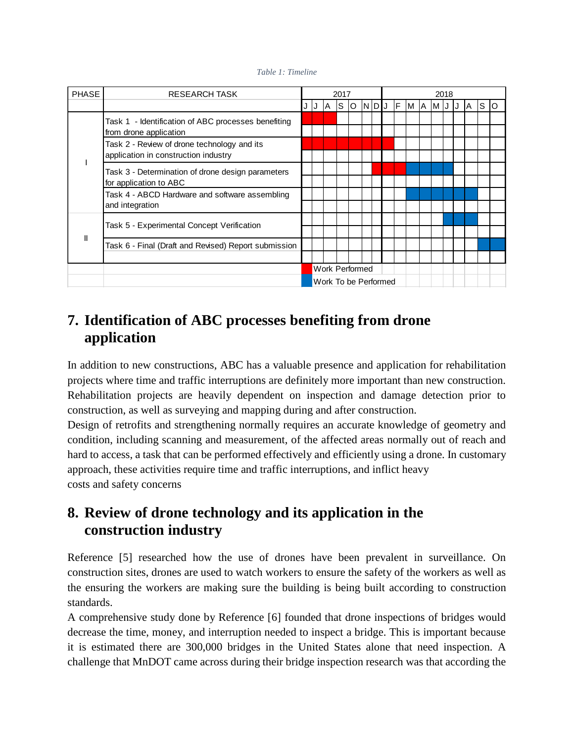#### *Table 1: Timeline*

| <b>PHASE</b> | <b>RESEARCH TASK</b>                                                                |                      | 2017                  |     |  |                  |  |  | 2018 |     |           |  |  |  |  |       |  |  |
|--------------|-------------------------------------------------------------------------------------|----------------------|-----------------------|-----|--|------------------|--|--|------|-----|-----------|--|--|--|--|-------|--|--|
|              |                                                                                     | J                    |                       | IA. |  | $ S $ o $ N D J$ |  |  |      | IF. | M A M J J |  |  |  |  | A S O |  |  |
|              | Task 1 - Identification of ABC processes benefiting<br>from drone application       |                      |                       |     |  |                  |  |  |      |     |           |  |  |  |  |       |  |  |
|              | Task 2 - Review of drone technology and its<br>application in construction industry |                      |                       |     |  |                  |  |  |      |     |           |  |  |  |  |       |  |  |
|              | Task 3 - Determination of drone design parameters<br>for application to ABC         |                      |                       |     |  |                  |  |  |      |     |           |  |  |  |  |       |  |  |
|              | Task 4 - ABCD Hardware and software assembling<br>and integration                   |                      |                       |     |  |                  |  |  |      |     |           |  |  |  |  |       |  |  |
| $\mathbf{I}$ | Task 5 - Experimental Concept Verification                                          |                      |                       |     |  |                  |  |  |      |     |           |  |  |  |  |       |  |  |
|              | Task 6 - Final (Draft and Revised) Report submission                                |                      |                       |     |  |                  |  |  |      |     |           |  |  |  |  |       |  |  |
|              |                                                                                     |                      | <b>Work Performed</b> |     |  |                  |  |  |      |     |           |  |  |  |  |       |  |  |
|              |                                                                                     | Work To be Performed |                       |     |  |                  |  |  |      |     |           |  |  |  |  |       |  |  |

## **7. Identification of ABC processes benefiting from drone application**

In addition to new constructions, ABC has a valuable presence and application for rehabilitation projects where time and traffic interruptions are definitely more important than new construction. Rehabilitation projects are heavily dependent on inspection and damage detection prior to construction, as well as surveying and mapping during and after construction.

Design of retrofits and strengthening normally requires an accurate knowledge of geometry and condition, including scanning and measurement, of the affected areas normally out of reach and hard to access, a task that can be performed effectively and efficiently using a drone. In customary approach, these activities require time and traffic interruptions, and inflict heavy costs and safety concerns

## **8. Review of drone technology and its application in the construction industry**

Reference [5] researched how the use of drones have been prevalent in surveillance. On construction sites, drones are used to watch workers to ensure the safety of the workers as well as the ensuring the workers are making sure the building is being built according to construction standards.

A comprehensive study done by Reference [6] founded that drone inspections of bridges would decrease the time, money, and interruption needed to inspect a bridge. This is important because it is estimated there are 300,000 bridges in the United States alone that need inspection. A challenge that MnDOT came across during their bridge inspection research was that according the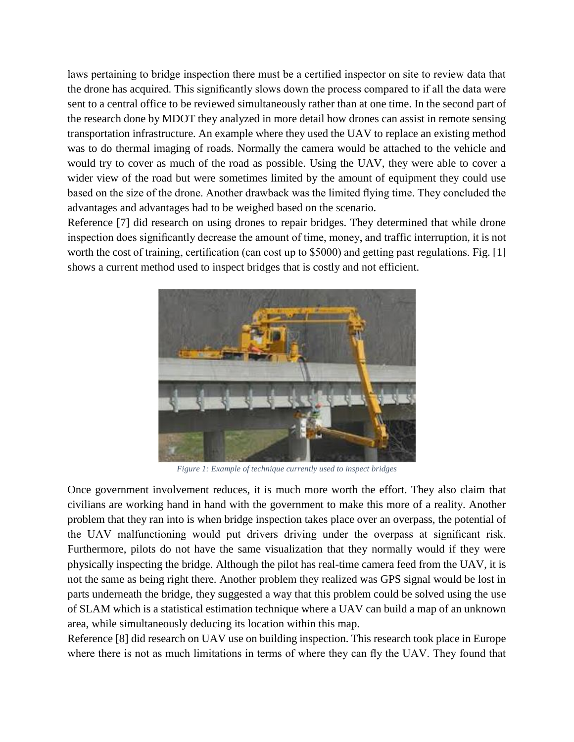laws pertaining to bridge inspection there must be a certified inspector on site to review data that the drone has acquired. This significantly slows down the process compared to if all the data were sent to a central office to be reviewed simultaneously rather than at one time. In the second part of the research done by MDOT they analyzed in more detail how drones can assist in remote sensing transportation infrastructure. An example where they used the UAV to replace an existing method was to do thermal imaging of roads. Normally the camera would be attached to the vehicle and would try to cover as much of the road as possible. Using the UAV, they were able to cover a wider view of the road but were sometimes limited by the amount of equipment they could use based on the size of the drone. Another drawback was the limited flying time. They concluded the advantages and advantages had to be weighed based on the scenario.

Reference [7] did research on using drones to repair bridges. They determined that while drone inspection does significantly decrease the amount of time, money, and traffic interruption, it is not worth the cost of training, certification (can cost up to \$5000) and getting past regulations. Fig. [1] shows a current method used to inspect bridges that is costly and not efficient.



*Figure 1: Example of technique currently used to inspect bridges*

Once government involvement reduces, it is much more worth the effort. They also claim that civilians are working hand in hand with the government to make this more of a reality. Another problem that they ran into is when bridge inspection takes place over an overpass, the potential of the UAV malfunctioning would put drivers driving under the overpass at significant risk. Furthermore, pilots do not have the same visualization that they normally would if they were physically inspecting the bridge. Although the pilot has real-time camera feed from the UAV, it is not the same as being right there. Another problem they realized was GPS signal would be lost in parts underneath the bridge, they suggested a way that this problem could be solved using the use of SLAM which is a statistical estimation technique where a UAV can build a map of an unknown area, while simultaneously deducing its location within this map.

Reference [8] did research on UAV use on building inspection. This research took place in Europe where there is not as much limitations in terms of where they can fly the UAV. They found that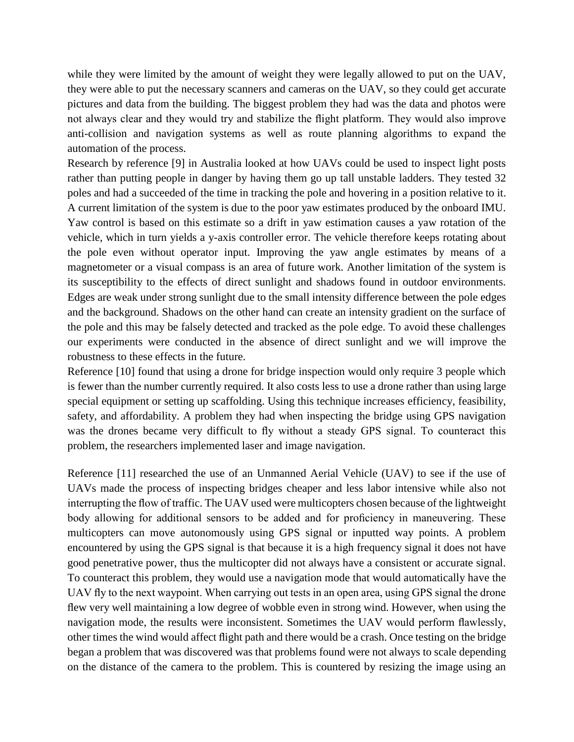while they were limited by the amount of weight they were legally allowed to put on the UAV, they were able to put the necessary scanners and cameras on the UAV, so they could get accurate pictures and data from the building. The biggest problem they had was the data and photos were not always clear and they would try and stabilize the flight platform. They would also improve anti-collision and navigation systems as well as route planning algorithms to expand the automation of the process.

Research by reference [9] in Australia looked at how UAVs could be used to inspect light posts rather than putting people in danger by having them go up tall unstable ladders. They tested 32 poles and had a succeeded of the time in tracking the pole and hovering in a position relative to it. A current limitation of the system is due to the poor yaw estimates produced by the onboard IMU. Yaw control is based on this estimate so a drift in yaw estimation causes a yaw rotation of the vehicle, which in turn yields a y-axis controller error. The vehicle therefore keeps rotating about the pole even without operator input. Improving the yaw angle estimates by means of a magnetometer or a visual compass is an area of future work. Another limitation of the system is its susceptibility to the effects of direct sunlight and shadows found in outdoor environments. Edges are weak under strong sunlight due to the small intensity difference between the pole edges and the background. Shadows on the other hand can create an intensity gradient on the surface of the pole and this may be falsely detected and tracked as the pole edge. To avoid these challenges our experiments were conducted in the absence of direct sunlight and we will improve the robustness to these effects in the future.

Reference [10] found that using a drone for bridge inspection would only require 3 people which is fewer than the number currently required. It also costs less to use a drone rather than using large special equipment or setting up scaffolding. Using this technique increases efficiency, feasibility, safety, and affordability. A problem they had when inspecting the bridge using GPS navigation was the drones became very difficult to fly without a steady GPS signal. To counteract this problem, the researchers implemented laser and image navigation.

Reference [11] researched the use of an Unmanned Aerial Vehicle (UAV) to see if the use of UAVs made the process of inspecting bridges cheaper and less labor intensive while also not interrupting the flow of traffic. The UAV used were multicopters chosen because of the lightweight body allowing for additional sensors to be added and for proficiency in maneuvering. These multicopters can move autonomously using GPS signal or inputted way points. A problem encountered by using the GPS signal is that because it is a high frequency signal it does not have good penetrative power, thus the multicopter did not always have a consistent or accurate signal. To counteract this problem, they would use a navigation mode that would automatically have the UAV fly to the next waypoint. When carrying out tests in an open area, using GPS signal the drone flew very well maintaining a low degree of wobble even in strong wind. However, when using the navigation mode, the results were inconsistent. Sometimes the UAV would perform flawlessly, other times the wind would affect flight path and there would be a crash. Once testing on the bridge began a problem that was discovered was that problems found were not always to scale depending on the distance of the camera to the problem. This is countered by resizing the image using an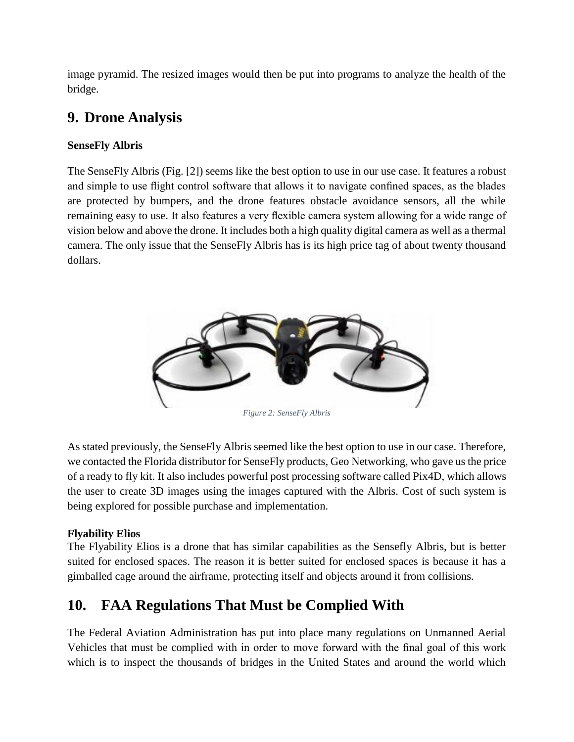image pyramid. The resized images would then be put into programs to analyze the health of the bridge.

# **9. Drone Analysis**

### **SenseFly Albris**

The SenseFly Albris (Fig. [2]) seems like the best option to use in our use case. It features a robust and simple to use flight control software that allows it to navigate confined spaces, as the blades are protected by bumpers, and the drone features obstacle avoidance sensors, all the while remaining easy to use. It also features a very flexible camera system allowing for a wide range of vision below and above the drone. It includes both a high quality digital camera as well as a thermal camera. The only issue that the SenseFly Albris has is its high price tag of about twenty thousand dollars.



As stated previously, the SenseFly Albris seemed like the best option to use in our case. Therefore, we contacted the Florida distributor for SenseFly products, Geo Networking, who gave us the price of a ready to fly kit. It also includes powerful post processing software called Pix4D, which allows the user to create 3D images using the images captured with the Albris. Cost of such system is being explored for possible purchase and implementation.

### **Flyability Elios**

The Flyability Elios is a drone that has similar capabilities as the Sensefly Albris, but is better suited for enclosed spaces. The reason it is better suited for enclosed spaces is because it has a gimballed cage around the airframe, protecting itself and objects around it from collisions.

# **10. FAA Regulations That Must be Complied With**

The Federal Aviation Administration has put into place many regulations on Unmanned Aerial Vehicles that must be complied with in order to move forward with the final goal of this work which is to inspect the thousands of bridges in the United States and around the world which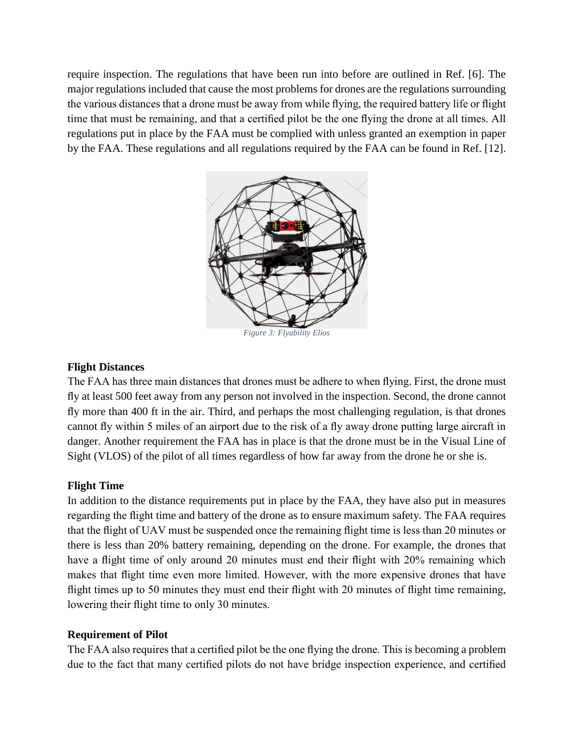require inspection. The regulations that have been run into before are outlined in Ref. [6]. The major regulations included that cause the most problems for drones are the regulations surrounding the various distances that a drone must be away from while flying, the required battery life or flight time that must be remaining, and that a certified pilot be the one flying the drone at all times. All regulations put in place by the FAA must be complied with unless granted an exemption in paper by the FAA. These regulations and all regulations required by the FAA can be found in Ref. [12].



*Figure 3: Flyability Elios*

#### **Flight Distances**

The FAA has three main distances that drones must be adhere to when flying. First, the drone must fly at least 500 feet away from any person not involved in the inspection. Second, the drone cannot fly more than 400 ft in the air. Third, and perhaps the most challenging regulation, is that drones cannot fly within 5 miles of an airport due to the risk of a fly away drone putting large aircraft in danger. Another requirement the FAA has in place is that the drone must be in the Visual Line of Sight (VLOS) of the pilot of all times regardless of how far away from the drone he or she is.

#### **Flight Time**

In addition to the distance requirements put in place by the FAA, they have also put in measures regarding the flight time and battery of the drone as to ensure maximum safety. The FAA requires that the flight of UAV must be suspended once the remaining flight time is less than 20 minutes or there is less than 20% battery remaining, depending on the drone. For example, the drones that have a flight time of only around 20 minutes must end their flight with 20% remaining which makes that flight time even more limited. However, with the more expensive drones that have flight times up to 50 minutes they must end their flight with 20 minutes of flight time remaining, lowering their flight time to only 30 minutes.

#### **Requirement of Pilot**

The FAA also requires that a certified pilot be the one flying the drone. This is becoming a problem due to the fact that many certified pilots do not have bridge inspection experience, and certified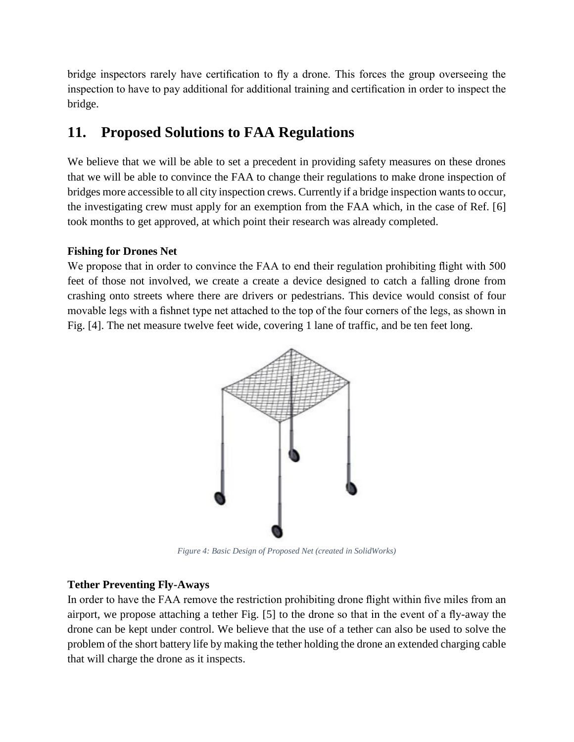bridge inspectors rarely have certification to fly a drone. This forces the group overseeing the inspection to have to pay additional for additional training and certification in order to inspect the bridge.

## **11. Proposed Solutions to FAA Regulations**

We believe that we will be able to set a precedent in providing safety measures on these drones that we will be able to convince the FAA to change their regulations to make drone inspection of bridges more accessible to all city inspection crews. Currently if a bridge inspection wants to occur, the investigating crew must apply for an exemption from the FAA which, in the case of Ref. [6] took months to get approved, at which point their research was already completed.

### **Fishing for Drones Net**

We propose that in order to convince the FAA to end their regulation prohibiting flight with 500 feet of those not involved, we create a create a device designed to catch a falling drone from crashing onto streets where there are drivers or pedestrians. This device would consist of four movable legs with a fishnet type net attached to the top of the four corners of the legs, as shown in Fig. [4]. The net measure twelve feet wide, covering 1 lane of traffic, and be ten feet long.



*Figure 4: Basic Design of Proposed Net (created in SolidWorks)*

#### **Tether Preventing Fly-Aways**

In order to have the FAA remove the restriction prohibiting drone flight within five miles from an airport, we propose attaching a tether Fig. [5] to the drone so that in the event of a fly-away the drone can be kept under control. We believe that the use of a tether can also be used to solve the problem of the short battery life by making the tether holding the drone an extended charging cable that will charge the drone as it inspects.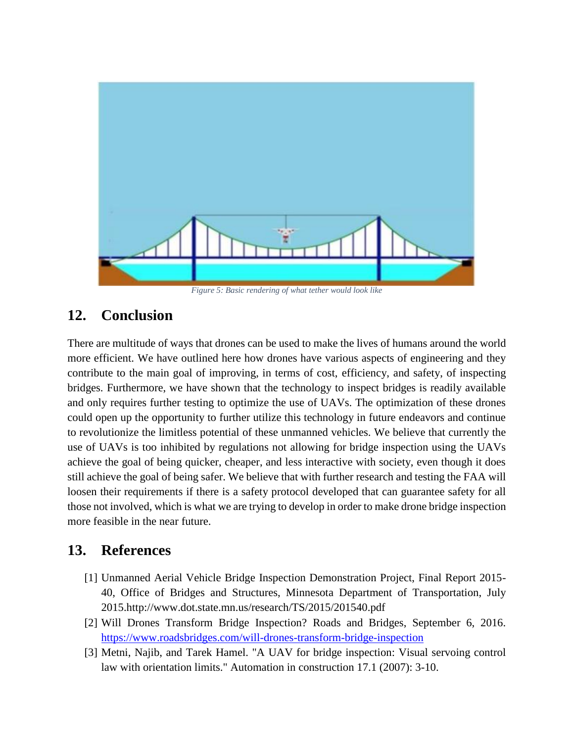

### **12. Conclusion**

There are multitude of ways that drones can be used to make the lives of humans around the world more efficient. We have outlined here how drones have various aspects of engineering and they contribute to the main goal of improving, in terms of cost, efficiency, and safety, of inspecting bridges. Furthermore, we have shown that the technology to inspect bridges is readily available and only requires further testing to optimize the use of UAVs. The optimization of these drones could open up the opportunity to further utilize this technology in future endeavors and continue to revolutionize the limitless potential of these unmanned vehicles. We believe that currently the use of UAVs is too inhibited by regulations not allowing for bridge inspection using the UAVs achieve the goal of being quicker, cheaper, and less interactive with society, even though it does still achieve the goal of being safer. We believe that with further research and testing the FAA will loosen their requirements if there is a safety protocol developed that can guarantee safety for all those not involved, which is what we are trying to develop in order to make drone bridge inspection more feasible in the near future.

### **13. References**

- [1] Unmanned Aerial Vehicle Bridge Inspection Demonstration Project, Final Report 2015- 40, Office of Bridges and Structures, Minnesota Department of Transportation, July 2015.http://www.dot.state.mn.us/research/TS/2015/201540.pdf
- [2] Will Drones Transform Bridge Inspection? Roads and Bridges, September 6, 2016. <https://www.roadsbridges.com/will-drones-transform-bridge-inspection>
- [3] Metni, Najib, and Tarek Hamel. "A UAV for bridge inspection: Visual servoing control law with orientation limits." Automation in construction 17.1 (2007): 3-10.